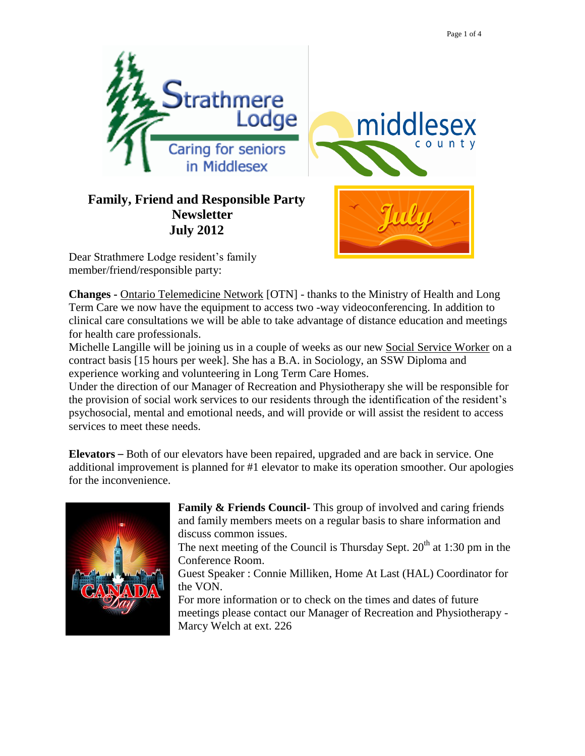

Dear Strathmere Lodge resident's family member/friend/responsible party:

**Changes -** Ontario Telemedicine Network [OTN] - thanks to the Ministry of Health and Long Term Care we now have the equipment to access two -way videoconferencing. In addition to clinical care consultations we will be able to take advantage of distance education and meetings for health care professionals.

Michelle Langille will be joining us in a couple of weeks as our new Social Service Worker on a contract basis [15 hours per week]. She has a B.A. in Sociology, an SSW Diploma and experience working and volunteering in Long Term Care Homes.

Under the direction of our Manager of Recreation and Physiotherapy she will be responsible for the provision of social work services to our residents through the identification of the resident's psychosocial, mental and emotional needs, and will provide or will assist the resident to access services to meet these needs.

**Elevators** – Both of our elevators have been repaired, upgraded and are back in service. One additional improvement is planned for #1 elevator to make its operation smoother. Our apologies for the inconvenience.



**Family & Friends Council-** This group of involved and caring friends and family members meets on a regular basis to share information and discuss common issues.

The next meeting of the Council is Thursday Sept.  $20<sup>th</sup>$  at 1:30 pm in the Conference Room.

Guest Speaker : Connie Milliken, Home At Last (HAL) Coordinator for the VON.

For more information or to check on the times and dates of future meetings please contact our Manager of Recreation and Physiotherapy - Marcy Welch at ext. 226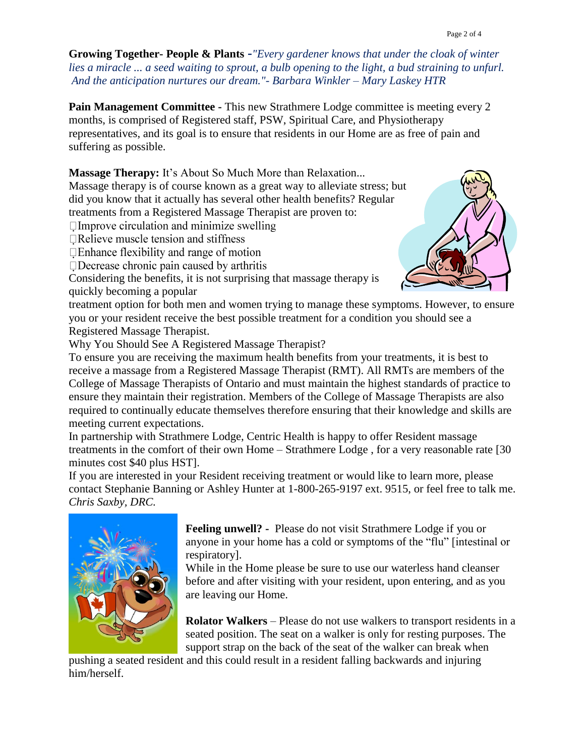**Growing Together- People & Plants -***"Every gardener knows that under the cloak of winter lies a miracle ... a seed waiting to sprout, a bulb opening to the light, a bud straining to unfurl. And the anticipation nurtures our dream."- Barbara Winkler – Mary Laskey HTR* 

**Pain Management Committee -** This new Strathmere Lodge committee is meeting every 2 months, is comprised of Registered staff, PSW, Spiritual Care, and Physiotherapy representatives, and its goal is to ensure that residents in our Home are as free of pain and suffering as possible.

**Massage Therapy:** It's About So Much More than Relaxation...

Massage therapy is of course known as a great way to alleviate stress; but did you know that it actually has several other health benefits? Regular treatments from a Registered Massage Therapist are proven to:

 $\Box$ Improve circulation and minimize swelling

 $\Box$  Relieve muscle tension and stiffness

 $\Box$  Enhance flexibility and range of motion

 $\Box$ Decrease chronic pain caused by arthritis

Considering the benefits, it is not surprising that massage therapy is quickly becoming a popular



treatment option for both men and women trying to manage these symptoms. However, to ensure you or your resident receive the best possible treatment for a condition you should see a Registered Massage Therapist.

Why You Should See A Registered Massage Therapist?

To ensure you are receiving the maximum health benefits from your treatments, it is best to receive a massage from a Registered Massage Therapist (RMT). All RMTs are members of the College of Massage Therapists of Ontario and must maintain the highest standards of practice to ensure they maintain their registration. Members of the College of Massage Therapists are also required to continually educate themselves therefore ensuring that their knowledge and skills are meeting current expectations.

In partnership with Strathmere Lodge, Centric Health is happy to offer Resident massage treatments in the comfort of their own Home – Strathmere Lodge , for a very reasonable rate [30 minutes cost \$40 plus HST].

If you are interested in your Resident receiving treatment or would like to learn more, please contact Stephanie Banning or Ashley Hunter at 1-800-265-9197 ext. 9515, or feel free to talk me. *Chris Saxby, DRC.*



**Feeling unwell? -** Please do not visit Strathmere Lodge if you or anyone in your home has a cold or symptoms of the "flu" [intestinal or respiratory].

While in the Home please be sure to use our waterless hand cleanser before and after visiting with your resident, upon entering, and as you are leaving our Home.

**Rolator Walkers** – Please do not use walkers to transport residents in a seated position. The seat on a walker is only for resting purposes. The support strap on the back of the seat of the walker can break when

pushing a seated resident and this could result in a resident falling backwards and injuring him/herself.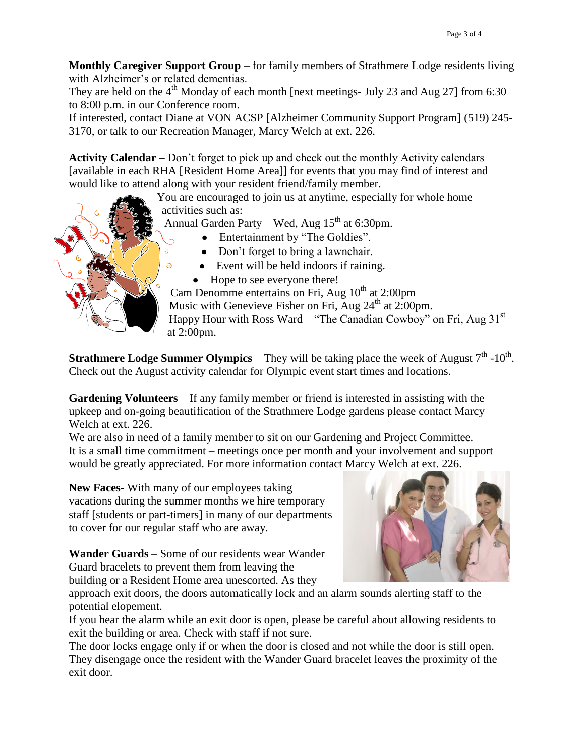**Monthly Caregiver Support Group** – for family members of Strathmere Lodge residents living with Alzheimer's or related dementias.

They are held on the  $4<sup>th</sup>$  Monday of each month [next meetings- July 23 and Aug 27] from 6:30 to 8:00 p.m. in our Conference room.

If interested, contact Diane at VON ACSP [Alzheimer Community Support Program] (519) 245- 3170, or talk to our Recreation Manager, Marcy Welch at ext. 226.

**Activity Calendar –** Don't forget to pick up and check out the monthly Activity calendars [available in each RHA [Resident Home Area]] for events that you may find of interest and would like to attend along with your resident friend/family member.

> You are encouraged to join us at anytime, especially for whole home activities such as:

Annual Garden Party – Wed, Aug  $15<sup>th</sup>$  at 6:30pm.

- Entertainment by "The Goldies".
- Don't forget to bring a lawnchair.
- Event will be held indoors if raining.
- Hope to see everyone there!

Cam Denomme entertains on Fri, Aug  $10^{th}$  at 2:00pm Music with Genevieve Fisher on Fri, Aug  $24<sup>th</sup>$  at 2:00pm. Happy Hour with Ross Ward – "The Canadian Cowboy" on Fri, Aug  $31<sup>st</sup>$ at 2:00pm.

**Strathmere Lodge Summer Olympics** – They will be taking place the week of August  $7<sup>th</sup>$  -10<sup>th</sup>. Check out the August activity calendar for Olympic event start times and locations.

**Gardening Volunteers** – If any family member or friend is interested in assisting with the upkeep and on-going beautification of the Strathmere Lodge gardens please contact Marcy Welch at ext. 226.

We are also in need of a family member to sit on our Gardening and Project Committee. It is a small time commitment – meetings once per month and your involvement and support would be greatly appreciated. For more information contact Marcy Welch at ext. 226.

**New Faces**- With many of our employees taking vacations during the summer months we hire temporary staff [students or part-timers] in many of our departments to cover for our regular staff who are away.

**Wander Guards** – Some of our residents wear Wander Guard bracelets to prevent them from leaving the building or a Resident Home area unescorted. As they



approach exit doors, the doors automatically lock and an alarm sounds alerting staff to the potential elopement.

If you hear the alarm while an exit door is open, please be careful about allowing residents to exit the building or area. Check with staff if not sure.

The door locks engage only if or when the door is closed and not while the door is still open. They disengage once the resident with the Wander Guard bracelet leaves the proximity of the exit door.



 $\delta$